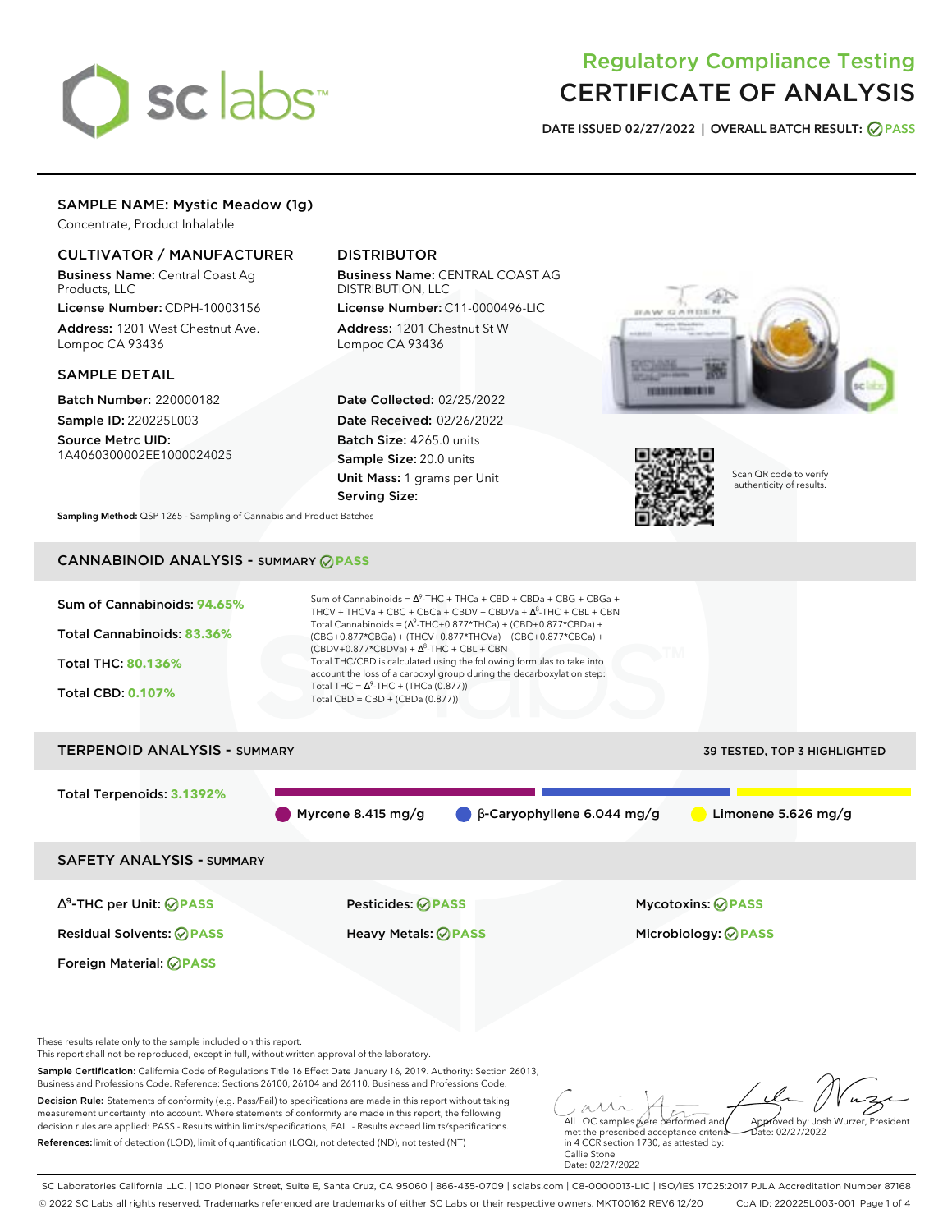# sclabs<sup>\*</sup>

# Regulatory Compliance Testing CERTIFICATE OF ANALYSIS

**DATE ISSUED 02/27/2022 | OVERALL BATCH RESULT: PASS**

#### SAMPLE NAME: Mystic Meadow (1g)

Concentrate, Product Inhalable

#### CULTIVATOR / MANUFACTURER

Business Name: Central Coast Ag Products, LLC

License Number: CDPH-10003156 Address: 1201 West Chestnut Ave. Lompoc CA 93436

#### SAMPLE DETAIL

Batch Number: 220000182 Sample ID: 220225L003

Source Metrc UID: 1A4060300002EE1000024025

### DISTRIBUTOR

Business Name: CENTRAL COAST AG DISTRIBUTION, LLC License Number: C11-0000496-LIC

Address: 1201 Chestnut St W Lompoc CA 93436

Date Collected: 02/25/2022 Date Received: 02/26/2022 Batch Size: 4265.0 units Sample Size: 20.0 units Unit Mass: 1 grams per Unit Serving Size:





Scan QR code to verify authenticity of results.

**Sampling Method:** QSP 1265 - Sampling of Cannabis and Product Batches

## CANNABINOID ANALYSIS - SUMMARY **PASS**



Decision Rule: Statements of conformity (e.g. Pass/Fail) to specifications are made in this report without taking measurement uncertainty into account. Where statements of conformity are made in this report, the following decision rules are applied: PASS - Results within limits/specifications, FAIL - Results exceed limits/specifications. References:limit of detection (LOD), limit of quantification (LOQ), not detected (ND), not tested (NT)

All LQC samples were performed and met the prescribed acceptance criteria in 4 CCR section 1730, as attested by: Callie Stone Date: 02/27/2022 Approved by: Josh Wurzer, President  $ate: 02/27/2022$ 

SC Laboratories California LLC. | 100 Pioneer Street, Suite E, Santa Cruz, CA 95060 | 866-435-0709 | sclabs.com | C8-0000013-LIC | ISO/IES 17025:2017 PJLA Accreditation Number 87168 © 2022 SC Labs all rights reserved. Trademarks referenced are trademarks of either SC Labs or their respective owners. MKT00162 REV6 12/20 CoA ID: 220225L003-001 Page 1 of 4